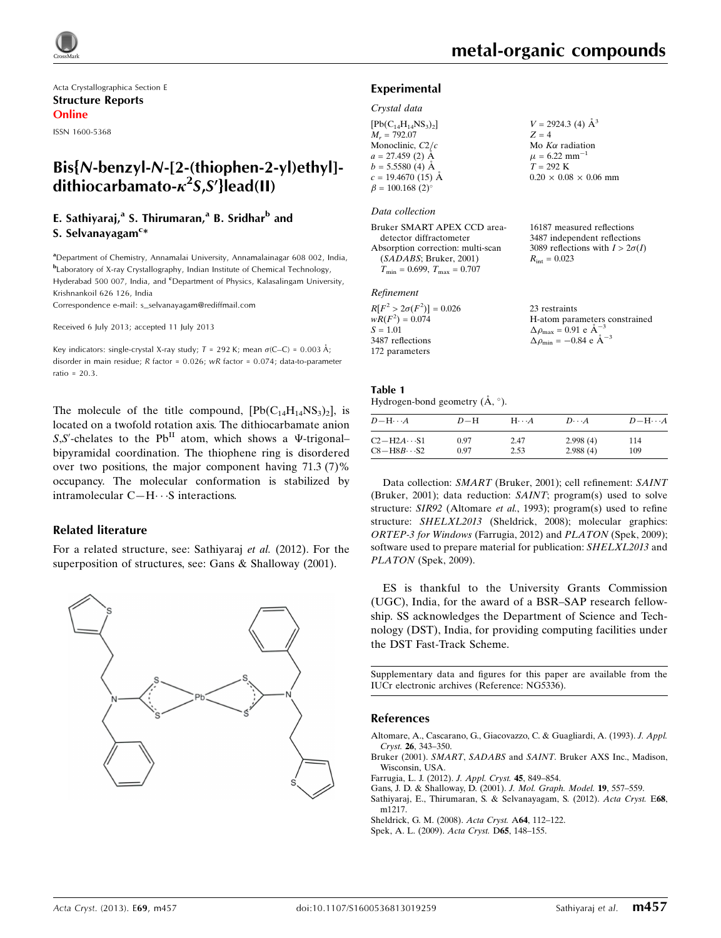

Acta Crystallographica Section E Structure Reports Online

ISSN 1600-5368

## Bis{N-benzyl-N-[2-(thiophen-2-yl)ethyl] dithiocarbamato- $\kappa^2$ S,S'}lead(II)

## E. Sathiyaraj,<sup>a</sup> S. Thirumaran,<sup>a</sup> B. Sridhar<sup>b</sup> and S. Selvanayagam<sup>c</sup>\*

<sup>a</sup>Department of Chemistry, Annamalai University, Annamalainagar 608 002, India, **b**Laboratory of X-ray Crystallography, Indian Institute of Chemical Technology, Hyderabad 500 007, India, and <sup>c</sup>Department of Physics, Kalasalingam University, Krishnankoil 626 126, India

Correspondence e-mail: [s\\_selvanayagam@rediffmail.com](https://scripts.iucr.org/cgi-bin/cr.cgi?rm=pdfbb&cnor=ng5336&bbid=BB7)

Received 6 July 2013; accepted 11 July 2013

Key indicators: single-crystal X-ray study;  $T = 292$  K; mean  $\sigma$ (C–C) = 0.003 Å; disorder in main residue; R factor = 0.026; wR factor = 0.074; data-to-parameter ratio =  $20.3$ .

The molecule of the title compound,  $[Pb(C_{14}H_{14}NS_3)_2]$ , is located on a twofold rotation axis. The dithiocarbamate anion  $S, S'$ -chelates to the Pb<sup>II</sup> atom, which shows a  $\Psi$ -trigonalbipyramidal coordination. The thiophene ring is disordered over two positions, the major component having 71.3 (7)% occupancy. The molecular conformation is stabilized by intramolecular  $C-H \cdots S$  interactions.

### Related literature

For a related structure, see: Sathiyaraj et al. (2012). For the superposition of structures, see: Gans & Shalloway (2001).



 $V = 2924.3$  (4)  $\AA^3$ 

 $0.20 \times 0.08 \times 0.06$  mm

16187 measured reflections 3487 independent reflections 3089 reflections with  $I > 2\sigma(I)$ 

 $Z = 4$ Mo  $K\alpha$  radiation  $\mu = 6.22$  mm<sup>-1</sup>  $T = 292 \text{ K}$ 

 $R_{\text{int}} = 0.023$ 

#### Experimental

#### Crystal data

| $[Pb(C_{14}H_{14}NS_3)_2]$<br>$M_r = 792.07$ |  |
|----------------------------------------------|--|
| Monoclinic, $C2/c$                           |  |
| $a = 27.459$ (2) A                           |  |
| $b = 5.5580(4)$ Å                            |  |
| $c = 19.4670(15)$ Å                          |  |
| $\beta = 100.168$ (2) <sup>o</sup>           |  |

#### Data collection

Bruker SMART APEX CCD areadetector diffractometer Absorption correction: multi-scan (SADABS; Bruker, 2001)  $T_{\text{min}} = 0.699$ ,  $T_{\text{max}} = 0.707$ 

#### Refinement

| $R[F^2 > 2\sigma(F^2)] = 0.026$ | 23 restraints                                         |
|---------------------------------|-------------------------------------------------------|
| $wR(F^2) = 0.074$               | H-atom parameters constrained                         |
| $S = 1.01$                      | $\Delta \rho_{\text{max}} = 0.91$ e $\text{\AA}^{-3}$ |
| 3487 reflections                | $\Delta \rho_{\text{min}} = -0.84$ e $\AA^{-3}$       |
| 172 parameters                  |                                                       |

## Table 1

Hydrogen-bond geometry  $(A, \circ)$ .

| $D - H \cdots A$     | $D-H$ | $H\cdots A$ | $D\cdot\cdot\cdot A$ | $D - H \cdots A$ |
|----------------------|-------|-------------|----------------------|------------------|
| $C2 - H2A \cdots S1$ | 0.97  | 2.47        | 2.998(4)             | 114              |
| $C8 - H8B \cdots S2$ | 0.97  | 2.53        | 2.988(4)             | 109              |

Data collection: SMART (Bruker, 2001); cell refinement: SAINT (Bruker, 2001); data reduction: SAINT; program(s) used to solve structure: SIR92 (Altomare et al., 1993); program(s) used to refine structure: SHELXL2013 (Sheldrick, 2008); molecular graphics: ORTEP-3 for Windows (Farrugia, 2012) and PLATON (Spek, 2009); software used to prepare material for publication: SHELXL2013 and PLATON (Spek, 2009).

ES is thankful to the University Grants Commission (UGC), India, for the award of a BSR–SAP research fellowship. SS acknowledges the Department of Science and Technology (DST), India, for providing computing facilities under the DST Fast-Track Scheme.

Supplementary data and figures for this paper are available from the IUCr electronic archives (Reference: NG5336).

#### References

- [Altomare, A., Cascarano, G., Giacovazzo, C. & Guagliardi, A. \(1993\).](https://scripts.iucr.org/cgi-bin/cr.cgi?rm=pdfbb&cnor=ng5336&bbid=BB1) J. Appl. Cryst. 26[, 343–350.](https://scripts.iucr.org/cgi-bin/cr.cgi?rm=pdfbb&cnor=ng5336&bbid=BB1)
- Bruker (2001). SMART, SADABS and SAINT[. Bruker AXS Inc., Madison,](https://scripts.iucr.org/cgi-bin/cr.cgi?rm=pdfbb&cnor=ng5336&bbid=BB2) [Wisconsin, USA.](https://scripts.iucr.org/cgi-bin/cr.cgi?rm=pdfbb&cnor=ng5336&bbid=BB2)
- [Farrugia, L. J. \(2012\).](https://scripts.iucr.org/cgi-bin/cr.cgi?rm=pdfbb&cnor=ng5336&bbid=BB3) J. Appl. Cryst. 45, 849–854.
- [Gans, J. D. & Shalloway, D. \(2001\).](https://scripts.iucr.org/cgi-bin/cr.cgi?rm=pdfbb&cnor=ng5336&bbid=BB4) J. Mol. Graph. Model. 19, 557–559.
- [Sathiyaraj, E., Thirumaran, S. & Selvanayagam, S. \(2012\).](https://scripts.iucr.org/cgi-bin/cr.cgi?rm=pdfbb&cnor=ng5336&bbid=BB5) Acta Cryst. E68, [m1217.](https://scripts.iucr.org/cgi-bin/cr.cgi?rm=pdfbb&cnor=ng5336&bbid=BB5)
- [Sheldrick, G. M. \(2008\).](https://scripts.iucr.org/cgi-bin/cr.cgi?rm=pdfbb&cnor=ng5336&bbid=BB6) Acta Cryst. A64, 112–122.
- [Spek, A. L. \(2009\).](https://scripts.iucr.org/cgi-bin/cr.cgi?rm=pdfbb&cnor=ng5336&bbid=BB7) Acta Cryst. D65, 148–155.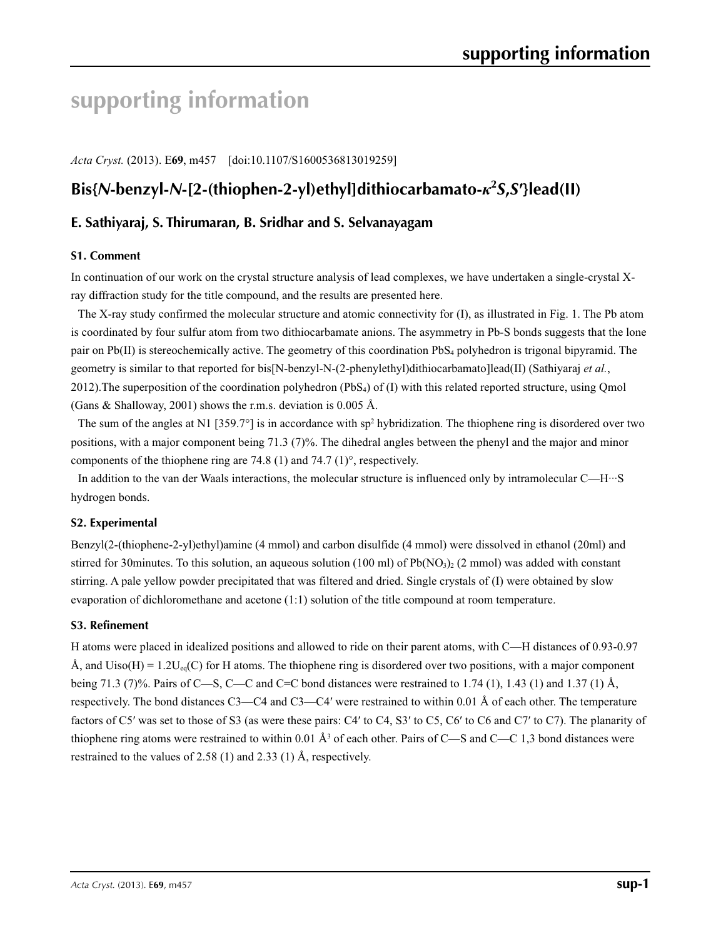# **supporting information**

*Acta Cryst.* (2013). E**69**, m457 [doi:10.1107/S1600536813019259]

## **Bis{***N***-benzyl-***N***-[2-(thiophen-2-yl)ethyl]dithiocarbamato-***κ***<sup>2</sup>** *S***,***S***′}lead(II)**

## **E. Sathiyaraj, S. Thirumaran, B. Sridhar and S. Selvanayagam**

## **S1. Comment**

In continuation of our work on the crystal structure analysis of lead complexes, we have undertaken a single-crystal Xray diffraction study for the title compound, and the results are presented here.

The X-ray study confirmed the molecular structure and atomic connectivity for (I), as illustrated in Fig. 1. The Pb atom is coordinated by four sulfur atom from two dithiocarbamate anions. The asymmetry in Pb-S bonds suggests that the lone pair on Pb(II) is stereochemically active. The geometry of this coordination PbS4 polyhedron is trigonal bipyramid. The geometry is similar to that reported for bis[N-benzyl-N-(2-phenylethyl)dithiocarbamato]lead(II) (Sathiyaraj *et al.*, 2012).The superposition of the coordination polyhedron (PbS4) of (I) with this related reported structure, using Qmol (Gans & Shalloway, 2001) shows the r.m.s. deviation is 0.005 Å.

The sum of the angles at N1 [359.7°] is in accordance with sp<sup>2</sup> hybridization. The thiophene ring is disordered over two positions, with a major component being 71.3 (7)%. The dihedral angles between the phenyl and the major and minor components of the thiophene ring are 74.8 (1) and 74.7 (1) $^{\circ}$ , respectively.

In addition to the van der Waals interactions, the molecular structure is influenced only by intramolecular C—H···S hydrogen bonds.

## **S2. Experimental**

Benzyl(2-(thiophene-2-yl)ethyl)amine (4 mmol) and carbon disulfide (4 mmol) were dissolved in ethanol (20ml) and stirred for 30minutes. To this solution, an aqueous solution (100 ml) of  $Pb(NO<sub>3</sub>)<sub>2</sub>$  (2 mmol) was added with constant stirring. A pale yellow powder precipitated that was filtered and dried. Single crystals of (I) were obtained by slow evaporation of dichloromethane and acetone (1:1) solution of the title compound at room temperature.

## **S3. Refinement**

H atoms were placed in idealized positions and allowed to ride on their parent atoms, with C—H distances of 0.93-0.97 Å, and  $Uiso(H) = 1.2U_{eq}(C)$  for H atoms. The thiophene ring is disordered over two positions, with a major component being 71.3 (7)%. Pairs of C—S, C—C and C=C bond distances were restrained to 1.74 (1), 1.43 (1) and 1.37 (1) Å, respectively. The bond distances C3—C4 and C3—C4′ were restrained to within 0.01 Å of each other. The temperature factors of C5′ was set to those of S3 (as were these pairs: C4′ to C4, S3′ to C5, C6′ to C6 and C7′ to C7). The planarity of thiophene ring atoms were restrained to within 0.01  $\AA$ <sup>3</sup> of each other. Pairs of C—S and C—C 1,3 bond distances were restrained to the values of 2.58 (1) and 2.33 (1) Å, respectively.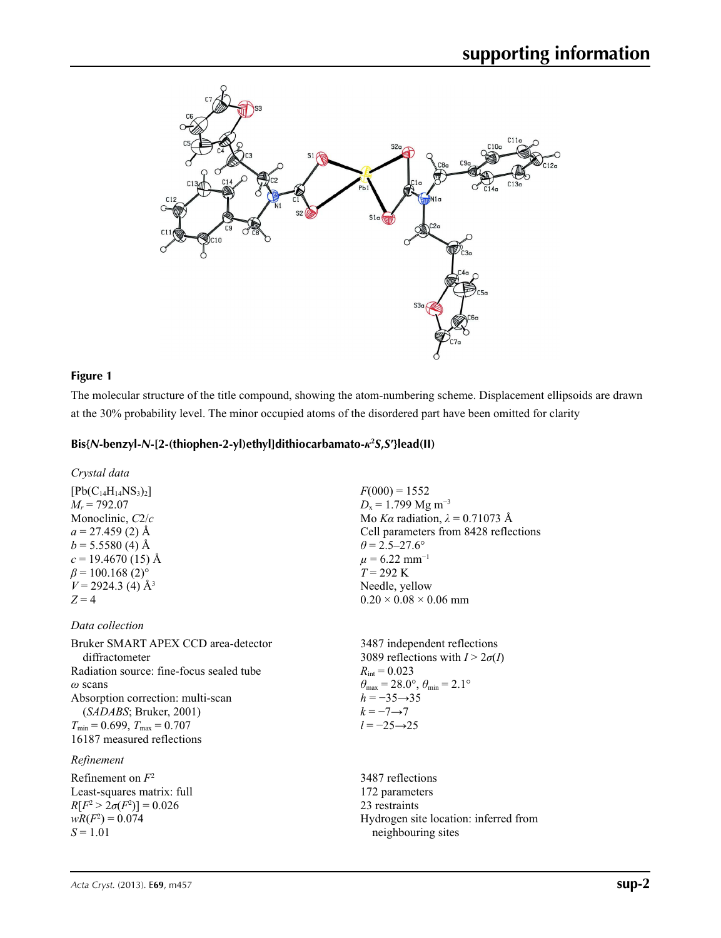

### **Figure 1**

The molecular structure of the title compound, showing the atom-numbering scheme. Displacement ellipsoids are drawn at the 30% probability level. The minor occupied atoms of the disordered part have been omitted for clarity

## **Bis{***N***-benzyl-***N***-[2-(thiophen-2-yl)ethyl]dithiocarbamato-***κ***<sup>2</sup>** *S***,***S***′}lead(II)**

*Crystal data*

 $[Pb(C_{14}H_{14}NS_3)_2]$  $M_r = 792.07$ Monoclinic, *C*2/*c*  $a = 27.459$  (2) Å  $b = 5.5580$  (4) Å  $c = 19.4670(15)$  Å  $\beta$  = 100.168 (2)<sup>o</sup>  $V = 2924.3$  (4)  $\AA$ <sup>3</sup> *Z* = 4

*Data collection*

Bruker SMART APEX CCD area-detector diffractometer Radiation source: fine-focus sealed tube *ω* scans Absorption correction: multi-scan (*SADABS*; Bruker, 2001)  $T_{\text{min}} = 0.699$ ,  $T_{\text{max}} = 0.707$ 16187 measured reflections

#### *Refinement*

Refinement on *F*<sup>2</sup> Least-squares matrix: full *R*[ $F^2 > 2\sigma(F^2)$ ] = 0.026  $wR(F^2) = 0.074$ *S* = 1.01

 $F(000) = 1552$  $D_x = 1.799$  Mg m<sup>-3</sup> Mo *Kα* radiation, *λ* = 0.71073 Å Cell parameters from 8428 reflections  $\theta$  = 2.5–27.6°  $\mu$  = 6.22 mm<sup>-1</sup> *T* = 292 K Needle, yellow  $0.20 \times 0.08 \times 0.06$  mm

3487 independent reflections 3089 reflections with  $I > 2\sigma(I)$  $R_{\text{int}} = 0.023$  $\theta_{\text{max}} = 28.0^{\circ}, \theta_{\text{min}} = 2.1^{\circ}$  $h = -35 \rightarrow 35$  $k = -7 \rightarrow 7$ *l* = −25→25

3487 reflections 172 parameters 23 restraints Hydrogen site location: inferred from neighbouring sites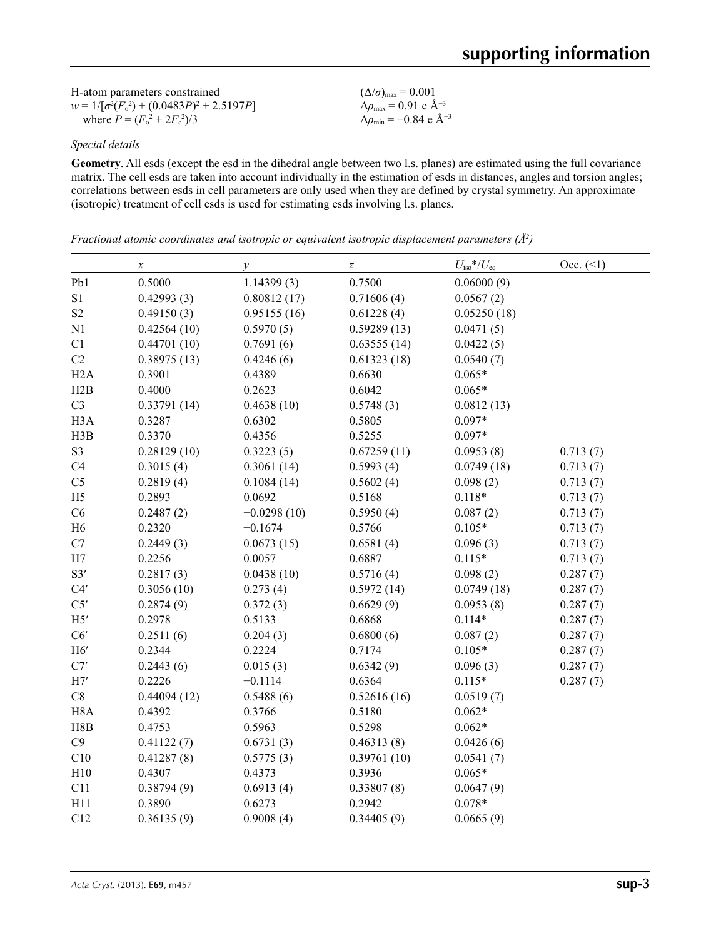| H-atom parameters constrained                     | $(\Delta/\sigma)_{\text{max}} = 0.001$           |
|---------------------------------------------------|--------------------------------------------------|
| $w = 1/[\sigma^2(F_0^2) + (0.0483P)^2 + 2.5197P]$ | $\Delta\rho_{\rm max} = 0.91$ e Å <sup>-3</sup>  |
| where $P = (F_0^2 + 2F_c^2)/3$                    | $\Delta\rho_{\rm min} = -0.84$ e Å <sup>-3</sup> |

*Special details*

**Geometry**. All esds (except the esd in the dihedral angle between two l.s. planes) are estimated using the full covariance matrix. The cell esds are taken into account individually in the estimation of esds in distances, angles and torsion angles; correlations between esds in cell parameters are only used when they are defined by crystal symmetry. An approximate (isotropic) treatment of cell esds is used for estimating esds involving l.s. planes.

*Fractional atomic coordinates and isotropic or equivalent isotropic displacement parameters (Å<sup>2</sup>)* 

|                  | $\boldsymbol{\chi}$ | $\mathcal{Y}$ | $\boldsymbol{Z}$ | $U_{\rm iso}*/U_{\rm eq}$ | Occ. (2) |
|------------------|---------------------|---------------|------------------|---------------------------|----------|
| Pb1              | 0.5000              | 1.14399(3)    | 0.7500           | 0.06000(9)                |          |
| S1               | 0.42993(3)          | 0.80812(17)   | 0.71606(4)       | 0.0567(2)                 |          |
| $\mathbf{S2}$    | 0.49150(3)          | 0.95155(16)   | 0.61228(4)       | 0.05250(18)               |          |
| N1               | 0.42564(10)         | 0.5970(5)     | 0.59289(13)      | 0.0471(5)                 |          |
| C1               | 0.44701(10)         | 0.7691(6)     | 0.63555(14)      | 0.0422(5)                 |          |
| C <sub>2</sub>   | 0.38975(13)         | 0.4246(6)     | 0.61323(18)      | 0.0540(7)                 |          |
| H <sub>2</sub> A | 0.3901              | 0.4389        | 0.6630           | $0.065*$                  |          |
| H2B              | 0.4000              | 0.2623        | 0.6042           | $0.065*$                  |          |
| C <sub>3</sub>   | 0.33791(14)         | 0.4638(10)    | 0.5748(3)        | 0.0812(13)                |          |
| H <sub>3</sub> A | 0.3287              | 0.6302        | 0.5805           | $0.097*$                  |          |
| H3B              | 0.3370              | 0.4356        | 0.5255           | $0.097*$                  |          |
| S <sub>3</sub>   | 0.28129(10)         | 0.3223(5)     | 0.67259(11)      | 0.0953(8)                 | 0.713(7) |
| C4               | 0.3015(4)           | 0.3061(14)    | 0.5993(4)        | 0.0749(18)                | 0.713(7) |
| C <sub>5</sub>   | 0.2819(4)           | 0.1084(14)    | 0.5602(4)        | 0.098(2)                  | 0.713(7) |
| H <sub>5</sub>   | 0.2893              | 0.0692        | 0.5168           | $0.118*$                  | 0.713(7) |
| C6               | 0.2487(2)           | $-0.0298(10)$ | 0.5950(4)        | 0.087(2)                  | 0.713(7) |
| H <sub>6</sub>   | 0.2320              | $-0.1674$     | 0.5766           | $0.105*$                  | 0.713(7) |
| C7               | 0.2449(3)           | 0.0673(15)    | 0.6581(4)        | 0.096(3)                  | 0.713(7) |
| H7               | 0.2256              | 0.0057        | 0.6887           | $0.115*$                  | 0.713(7) |
| S3'              | 0.2817(3)           | 0.0438(10)    | 0.5716(4)        | 0.098(2)                  | 0.287(7) |
| C4'              | 0.3056(10)          | 0.273(4)      | 0.5972(14)       | 0.0749(18)                | 0.287(7) |
| C5'              | 0.2874(9)           | 0.372(3)      | 0.6629(9)        | 0.0953(8)                 | 0.287(7) |
| H5'              | 0.2978              | 0.5133        | 0.6868           | $0.114*$                  | 0.287(7) |
| C6'              | 0.2511(6)           | 0.204(3)      | 0.6800(6)        | 0.087(2)                  | 0.287(7) |
| H6'              | 0.2344              | 0.2224        | 0.7174           | $0.105*$                  | 0.287(7) |
| C7'              | 0.2443(6)           | 0.015(3)      | 0.6342(9)        | 0.096(3)                  | 0.287(7) |
| H7'              | 0.2226              | $-0.1114$     | 0.6364           | $0.115*$                  | 0.287(7) |
| $\rm{C}8$        | 0.44094(12)         | 0.5488(6)     | 0.52616(16)      | 0.0519(7)                 |          |
| H <sub>8</sub> A | 0.4392              | 0.3766        | 0.5180           | $0.062*$                  |          |
| H8B              | 0.4753              | 0.5963        | 0.5298           | $0.062*$                  |          |
| C9               | 0.41122(7)          | 0.6731(3)     | 0.46313(8)       | 0.0426(6)                 |          |
| C10              | 0.41287(8)          | 0.5775(3)     | 0.39761(10)      | 0.0541(7)                 |          |
| H10              | 0.4307              | 0.4373        | 0.3936           | $0.065*$                  |          |
| C11              | 0.38794(9)          | 0.6913(4)     | 0.33807(8)       | 0.0647(9)                 |          |
| H11              | 0.3890              | 0.6273        | 0.2942           | $0.078*$                  |          |
| C12              | 0.36135(9)          | 0.9008(4)     | 0.34405(9)       | 0.0665(9)                 |          |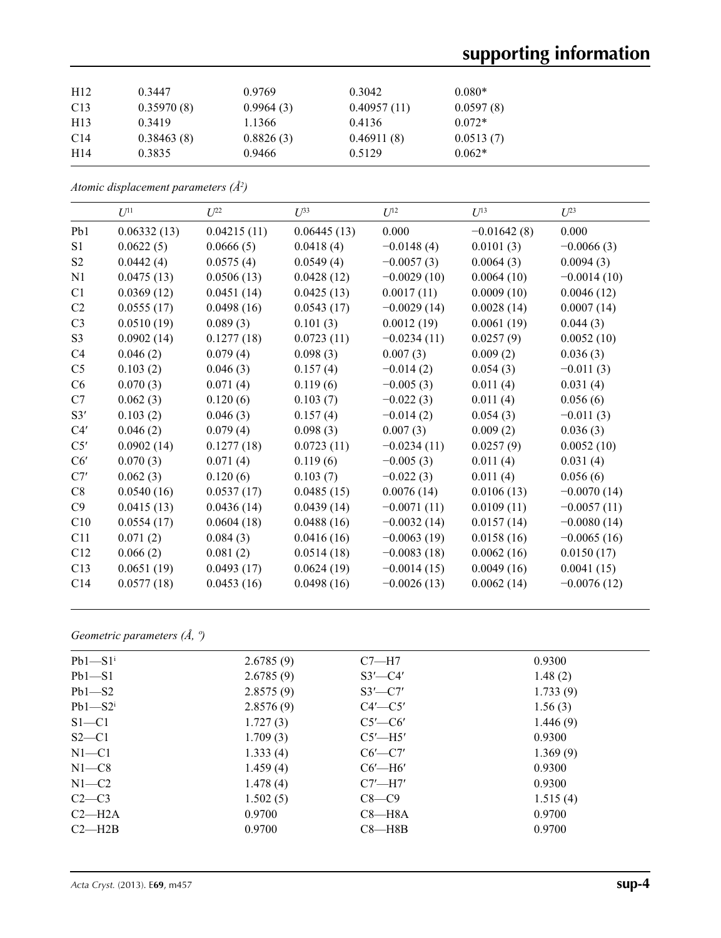# **supporting information**

| H <sub>12</sub> | 0.3447     | 0.9769    | 0.3042      | $0.080*$  |
|-----------------|------------|-----------|-------------|-----------|
| C13             | 0.35970(8) | 0.9964(3) | 0.40957(11) | 0.0597(8) |
| H13             | 0.3419     | 1.1366    | 0.4136      | $0.072*$  |
| C <sub>14</sub> | 0.38463(8) | 0.8826(3) | 0.46911(8)  | 0.0513(7) |
| H <sub>14</sub> | 0.3835     | 0.9466    | 0.5129      | $0.062*$  |

*Atomic displacement parameters (Å2 )*

|                | $U^{11}$    | $L^{22}$    | $U^{33}$    | $U^{12}$      | $U^{13}$      | $U^{23}$      |
|----------------|-------------|-------------|-------------|---------------|---------------|---------------|
| Pb1            | 0.06332(13) | 0.04215(11) | 0.06445(13) | 0.000         | $-0.01642(8)$ | 0.000         |
| S1             | 0.0622(5)   | 0.0666(5)   | 0.0418(4)   | $-0.0148(4)$  | 0.0101(3)     | $-0.0066(3)$  |
| S <sub>2</sub> | 0.0442(4)   | 0.0575(4)   | 0.0549(4)   | $-0.0057(3)$  | 0.0064(3)     | 0.0094(3)     |
| N1             | 0.0475(13)  | 0.0506(13)  | 0.0428(12)  | $-0.0029(10)$ | 0.0064(10)    | $-0.0014(10)$ |
| C <sub>1</sub> | 0.0369(12)  | 0.0451(14)  | 0.0425(13)  | 0.0017(11)    | 0.0009(10)    | 0.0046(12)    |
| C <sub>2</sub> | 0.0555(17)  | 0.0498(16)  | 0.0543(17)  | $-0.0029(14)$ | 0.0028(14)    | 0.0007(14)    |
| C <sub>3</sub> | 0.0510(19)  | 0.089(3)    | 0.101(3)    | 0.0012(19)    | 0.0061(19)    | 0.044(3)      |
| S <sub>3</sub> | 0.0902(14)  | 0.1277(18)  | 0.0723(11)  | $-0.0234(11)$ | 0.0257(9)     | 0.0052(10)    |
| C4             | 0.046(2)    | 0.079(4)    | 0.098(3)    | 0.007(3)      | 0.009(2)      | 0.036(3)      |
| C <sub>5</sub> | 0.103(2)    | 0.046(3)    | 0.157(4)    | $-0.014(2)$   | 0.054(3)      | $-0.011(3)$   |
| C <sub>6</sub> | 0.070(3)    | 0.071(4)    | 0.119(6)    | $-0.005(3)$   | 0.011(4)      | 0.031(4)      |
| C7             | 0.062(3)    | 0.120(6)    | 0.103(7)    | $-0.022(3)$   | 0.011(4)      | 0.056(6)      |
| S3'            | 0.103(2)    | 0.046(3)    | 0.157(4)    | $-0.014(2)$   | 0.054(3)      | $-0.011(3)$   |
| C4'            | 0.046(2)    | 0.079(4)    | 0.098(3)    | 0.007(3)      | 0.009(2)      | 0.036(3)      |
| C5'            | 0.0902(14)  | 0.1277(18)  | 0.0723(11)  | $-0.0234(11)$ | 0.0257(9)     | 0.0052(10)    |
| C6'            | 0.070(3)    | 0.071(4)    | 0.119(6)    | $-0.005(3)$   | 0.011(4)      | 0.031(4)      |
| $\mathrm{C}7'$ | 0.062(3)    | 0.120(6)    | 0.103(7)    | $-0.022(3)$   | 0.011(4)      | 0.056(6)      |
| C8             | 0.0540(16)  | 0.0537(17)  | 0.0485(15)  | 0.0076(14)    | 0.0106(13)    | $-0.0070(14)$ |
| C9             | 0.0415(13)  | 0.0436(14)  | 0.0439(14)  | $-0.0071(11)$ | 0.0109(11)    | $-0.0057(11)$ |
| C10            | 0.0554(17)  | 0.0604(18)  | 0.0488(16)  | $-0.0032(14)$ | 0.0157(14)    | $-0.0080(14)$ |
| C11            | 0.071(2)    | 0.084(3)    | 0.0416(16)  | $-0.0063(19)$ | 0.0158(16)    | $-0.0065(16)$ |
| C12            | 0.066(2)    | 0.081(2)    | 0.0514(18)  | $-0.0083(18)$ | 0.0062(16)    | 0.0150(17)    |
| C13            | 0.0651(19)  | 0.0493(17)  | 0.0624(19)  | $-0.0014(15)$ | 0.0049(16)    | 0.0041(15)    |
| C14            | 0.0577(18)  | 0.0453(16)  | 0.0498(16)  | $-0.0026(13)$ | 0.0062(14)    | $-0.0076(12)$ |

## *Geometric parameters (Å, º)*

| $Pb1-S1$ <sup>i</sup> | 2.6785(9) | $C7 - H7$     | 0.9300   |
|-----------------------|-----------|---------------|----------|
| $Pb1-S1$              | 2.6785(9) | $S3'$ - $C4'$ | 1.48(2)  |
| $Pb1-S2$              | 2.8575(9) | $S3'$ - $C7'$ | 1.733(9) |
| $Pb1-S2i$             | 2.8576(9) | $C4'$ — $C5'$ | 1.56(3)  |
| $S1 - C1$             | 1.727(3)  | $C5'$ — $C6'$ | 1.446(9) |
| $S2 - C1$             | 1.709(3)  | $C5'$ —H5'    | 0.9300   |
| $N1-C1$               | 1.333(4)  | $C6'$ — $C7'$ | 1.369(9) |
| $N1-C8$               | 1.459(4)  | $C6'$ —H $6'$ | 0.9300   |
| $N1-C2$               | 1.478(4)  | $C7'$ —H7'    | 0.9300   |
| $C2-C3$               | 1.502(5)  | $C8-C9$       | 1.515(4) |
| $C2-H2A$              | 0.9700    | $C8 - H8A$    | 0.9700   |
| $C2 - H2B$            | 0.9700    | $C8 - H8B$    | 0.9700   |
|                       |           |               |          |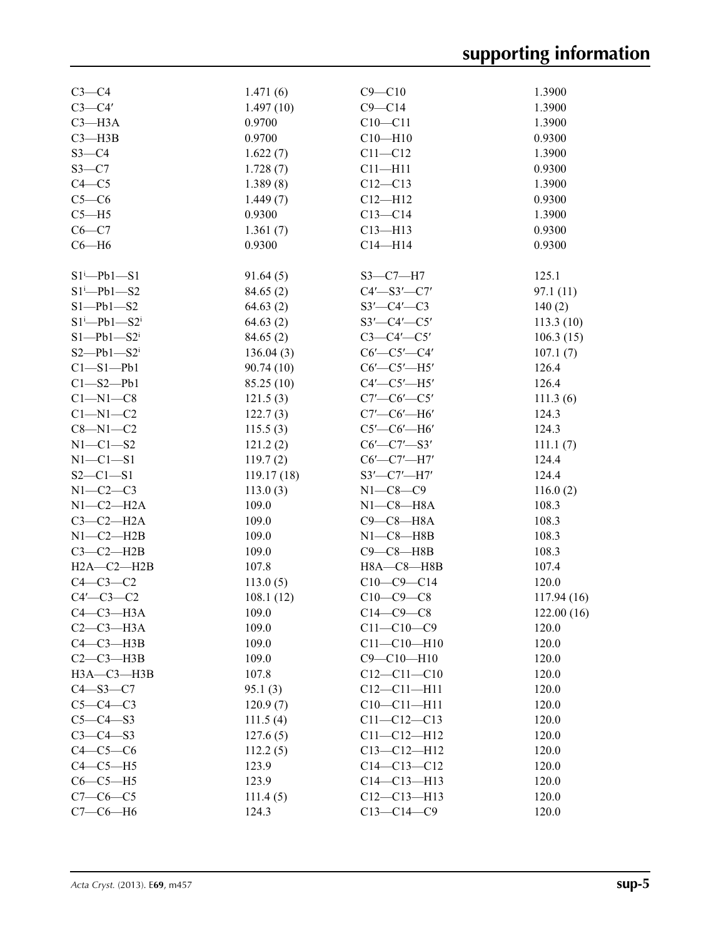| $C3-C4$                                   | 1.471(6)   | $C9 - C10$            | 1.3900     |
|-------------------------------------------|------------|-----------------------|------------|
| $C3-C4'$                                  | 1.497(10)  | $C9 - C14$            | 1.3900     |
| $C3 - H3A$                                | 0.9700     | $C10 - C11$           | 1.3900     |
| $C3 - H3B$                                | 0.9700     | $C10 - H10$           | 0.9300     |
| $S3-C4$                                   | 1.622(7)   | $C11 - C12$           | 1.3900     |
| $S3-C7$                                   | 1.728(7)   | $C11 - H11$           | 0.9300     |
| $C4 - C5$                                 | 1.389(8)   | $C12 - C13$           | 1.3900     |
| $C5-C6$                                   | 1.449(7)   | $C12 - H12$           | 0.9300     |
| $C5 - H5$                                 | 0.9300     | $C13 - C14$           | 1.3900     |
| $C6-C7$                                   | 1.361(7)   | $C13 - H13$           | 0.9300     |
| $C6 - H6$                                 | 0.9300     | $C14 - H14$           | 0.9300     |
|                                           |            |                       |            |
| $S1 - Pb1 - S1$                           | 91.64(5)   | $S3 - C7 - H7$        | 125.1      |
| $S1 - Pb1 - S2$                           | 84.65 (2)  | $C4'$ —S3'—C7'        | 97.1(11)   |
| $S1-Pb1-S2$                               | 64.63(2)   | $S3'$ - $C4'$ - $C3$  | 140(2)     |
| $S1$ <sup>i</sup> -Pb1- $S2$ <sup>i</sup> | 64.63(2)   | $S3'$ -C4'-C5'        | 113.3(10)  |
| $S1-Pb1-S2$ <sup>i</sup>                  | 84.65(2)   | $C3 - C4' - C5'$      | 106.3(15)  |
| $S2-Pb1-S2$ <sup>i</sup>                  | 136.04(3)  | $C6'$ — $C5'$ — $C4'$ | 107.1(7)   |
| $C1 - S1 - Pb1$                           | 90.74 (10) | $C6'$ - $C5'$ -H5'    | 126.4      |
| $C1 - S2 - Pb1$                           | 85.25(10)  | $C4'$ — $C5'$ — $H5'$ | 126.4      |
| $C1-M1-C8$                                | 121.5(3)   | $C7'$ — $C6'$ — $C5'$ | 111.3(6)   |
| $C1 - N1 - C2$                            | 122.7(3)   | $C7'$ — $C6'$ — $H6'$ | 124.3      |
| $C8 - N1 - C2$                            | 115.5(3)   | $C5'$ — $C6'$ — $H6'$ | 124.3      |
| $N1-C1-S2$                                | 121.2(2)   | $C6'$ — $C7'$ —S3'    | 111.1(7)   |
| $N1-C1-S1$                                | 119.7(2)   | $C6'$ - $C7'$ - $H7'$ | 124.4      |
| $S2 - C1 - S1$                            | 119.17(18) | $S3'$ -C7'-H7'        | 124.4      |
| $N1-C2-C3$                                | 113.0(3)   | $N1 - C8 - C9$        | 116.0(2)   |
| $N1-C2-H2A$                               | 109.0      | $N1-C8-H8A$           | 108.3      |
| $C3-C2-H2A$                               | 109.0      | $C9 - C8 - H8A$       | 108.3      |
|                                           |            | $N1-C8 - H8B$         |            |
| $N1-C2-H2B$                               | 109.0      | $C9 - C8 - H8B$       | 108.3      |
| $C3-C2-H2B$                               | 109.0      |                       | 108.3      |
| $H2A - C2 - H2B$                          | 107.8      | H8A-C8-H8B            | 107.4      |
| $C4-C3-C2$                                | 113.0(5)   | $C10-C9-C14$          | 120.0      |
| $C4'$ - $C3$ - $C2$                       | 108.1(12)  | $C10-C9-C8$           | 117.94(16) |
| $C4-C3-H3A$                               | 109.0      | $C14-C9-C8$           | 122.00(16) |
| $C2-C3-H3A$                               | 109.0      | $C11 - C10 - C9$      | 120.0      |
| $C4-C3-H3B$                               | 109.0      | $C11 - C10 - H10$     | 120.0      |
| $C2-C3-H3B$                               | 109.0      | $C9 - C10 - H10$      | 120.0      |
| $H3A - C3 - H3B$                          | 107.8      | $C12 - C11 - C10$     | 120.0      |
| $C4 - S3 - C7$                            | 95.1(3)    | $C12 - C11 - H11$     | 120.0      |
| $C5-C4-C3$                                | 120.9(7)   | $C10 - C11 - H11$     | 120.0      |
| $C5-C4-S3$                                | 111.5(4)   | $C11 - C12 - C13$     | 120.0      |
| $C3-C4-S3$                                | 127.6(5)   | $C11 - C12 - H12$     | 120.0      |
| $C4-C5-C6$                                | 112.2(5)   | $C13 - C12 - H12$     | 120.0      |
| $C4-C5-H5$                                | 123.9      | $C14 - C13 - C12$     | 120.0      |
| $C6-C5-H5$                                | 123.9      | $C14 - C13 - H13$     | 120.0      |
| $C7-C6-C5$                                | 111.4(5)   | $C12-C13-H13$         | 120.0      |
| $C7-C6-H6$                                | 124.3      | $C13 - C14 - C9$      | 120.0      |